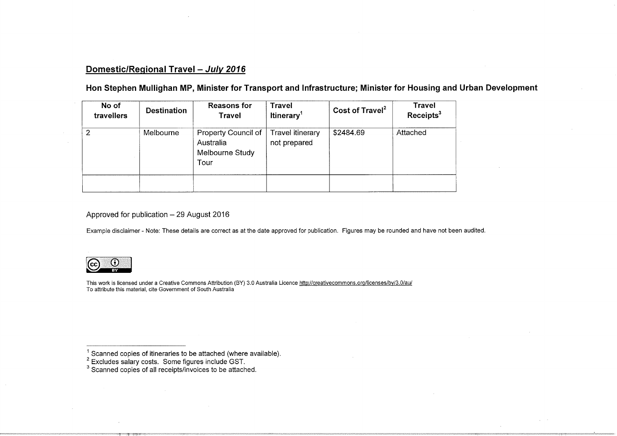### Domestic/Regional Travel - July 2016

Hon Stephen Mullighan MP, Minister for Transport and Infrastructure; Minister for Housing and Urban Development

| No of<br>travellers | <b>Destination</b> | <b>Reasons for</b><br><b>Travel</b>                         | <b>Travel</b><br>Itinerary <sup>1</sup> | Cost of Travel <sup>2</sup> | <b>Travel</b><br>Receipts <sup>3</sup> |
|---------------------|--------------------|-------------------------------------------------------------|-----------------------------------------|-----------------------------|----------------------------------------|
| 2                   | Melbourne          | Property Council of<br>Australia<br>Melbourne Study<br>Tour | Travel itinerary<br>not prepared        | \$2484.69                   | Attached                               |
|                     |                    |                                                             |                                         |                             |                                        |

Approved for publication  $-29$  August 2016

Example disclaimer - Note: These details are correct as at the date approved for publication. Figures may be rounded and have not been audited.



This work is licensed under a Creative Commons Attribution (BY) 3.0 Australia Licence http://creativecommons.org/licenses/by/3.0/au To attribute this material, cite Government of South Australia

 $^{\prime}$  Scanned copies of itineraries to be attached (where available<br><sup>2</sup> Excludes salary costs. Some figures include GST.<br><sup>3</sup> Scanned copies of all receipts/invoices to be attached.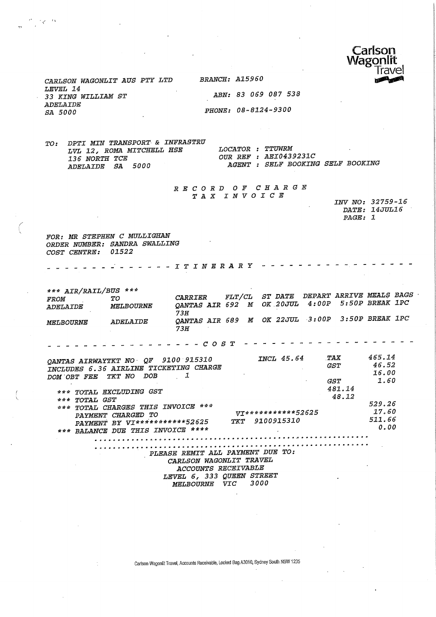

CARLSON WAGONLIT AUS PTY LTD BRANCH: A159SO LEVEL 14<br>33 KING WILLIAM ST ADELAIDE<br>SA 5000

 $\frac{1}{3}$   $\frac{1}{3}$ 

ABN: 83 069 087 538 PHONE: 08-8124-9300

TO: DPTI MIN TR&NSPORT & INFRASTRU LVL 12, ROMA MITCHELL HSE LOCATOR : TTUWRM<br>136 NORTH TCE OUR REF : AEI043. 136 NORTH TCE 12000 OUR REF : AEI0439231C<br>
ADELAIDE SA 5000 AGENT : SELF BOOKING

AGENT : SELF BOOKING SELF BOOKING

RECORD OF CHARGE TAX INVOICE

|         | INV NO: 32759-16 |
|---------|------------------|
|         | DATE: 14JUL16    |
| PAGE: 1 |                  |
|         |                  |

FOR: MR STEPHEN C MULLIGHAN ORDER NUMBER: SANDRA SWALLING COST CENTRE: 01522

- - - - *ITINERARY - -*

\*\*\* AIR/RAIL/BUS \*\*\* FROM TO CARRIER FLT/CL ST DATE DEPART ARRIVE MEALS BAGS<br>ELECTRONIC LIFE ON MOVING AND CONTINUATION STROP REEAK IPC DELAIDE MELBOURNE QANTAS—AIR 692 M OK.20JUL 4:00P 5:SOP BREAK IPC  $3H$ MELBOURNE ADELAIDE QANTAS AIR 689 M OK 22JUL 3:OOP 3:BOP BREAK 1PC 73H

 $-$  - - - - - - - - - -  $C$  O S T - -

| 9100 915310<br>QANTAS AIRWAYTKT NO QF              | <i>INCL 45.64</i>  | TAX        | 465.14 |
|----------------------------------------------------|--------------------|------------|--------|
| INCLUDES 6.36 AIRLINE TICKETING CHARGE             |                    | <i>GST</i> | 46.52  |
| DOB<br>TKT NO<br>DOM OBT FEE                       |                    |            | 16.00  |
|                                                    |                    | GST.       | 1.60   |
| TOTAL EXCLUDING GST<br>***                         |                    | 481.14     |        |
| ***                                                |                    | 48.12      |        |
| TOTAL GST<br>TOTAL CHARGES THIS INVOICE ***<br>*** |                    |            | 529.26 |
| PAYMENT CHARGED TO                                 | VT***********52625 |            | 17.60  |
| PAYMENT BY VI************52625                     | 9100915310<br>ጥሯጥ  |            | 511.66 |
| *** BALANCE DUE THIS INVOICE ****                  |                    |            | 0.00   |
|                                                    |                    |            |        |
|                                                    |                    |            |        |

PLEASE REMIT ALL PAYMENT DUE TO: CARLSON WAGONLIT TRAVEL ACCOUNTS RECEIVABLE LEVEL 6, 333 QUEEN STREET<br>MELBOURNE VIC 3000 MELBOURNE VIC

Carlson Wagonlit Travel, Accounts Receivable, Locked Bag A3010, Sydney South NSW 1235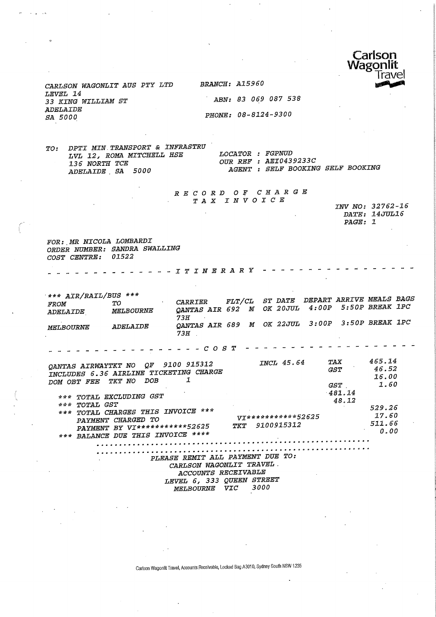

CARLSON WAGONLIT AUS PTY LTD LEVEL 14 33 KING WILLIAM ST ADELAIDE SA 5000

BRANCH: A15960

 $ABN: 83069087538$ PHONE: 08-8124-9300

DPTI MIN TRANSPORT & INFRASTRU  $TO:$ LOCATOR : FGPNUD LVL 12, ROMA MITCHELL HSE OUR REF : AEI0439233C 136 NORTH TCE AGENT : SELF BOOKING SELF BOOKING ADELAIDE SA 5000

#### RECORD OF CHARGE TAX INVOICE

INV NO: 32762-16 DATE: 14JUL16 PAGE: 1

FOR: MR NICOLA LOMBARDI ORDER NUMBER: SANDRA SWALLING COST CENTRE: 01522

- - - - - - - - - - - - - I T I N E R A R Y - - - -

 $***$  AIR/RAIL/BUS \*\*\* CARRIER FLT/CL ST DATE DEPART ARRIVE MEALS BAGS  $T O$ QANTAS AIR 692 M OK 20JUL 4:00P 5:50P BREAK 1PC FROM MELBOURNE *ADELAIDE*  $73H$  $\sim 10$ QANTAS AIR 689 M OK 22JUL 3:00P 3:50P BREAK 1PC MELBOURNE ADELAIDE  $73H$ 465.14 **INCL 45.64** QANTAS AIRWAYTKT NO QF 9100 915312 **TAX** 46.52 INCLUDES 6.36 AIRLINE TICKETING CHARGE **GST** 16.00 DOM OBT FEE TKT NO DOB  $\mathbf{I}$  $GST$ 1.60  $-481.14$ \*\*\* TOTAL EXCLUDING GST 48.12 \*\*\* TOTAL GST 529.26 \*\*\* TOTAL CHARGES THIS INVOICE \*\*\* 17.60 VI\*\*\*\*\*\*\*\*\*\*\*\*52625 PAYMENT CHARGED TO 511.66 TKT 9100915312 PAYMENT BY VI\*\*\*\*\*\*\*\*\*\*\*52625 0.00 \*\*\* BALANCE DUE THIS INVOICE \*\*\*\* 

PLEASE REMIT ALL PAYMENT DUE TO: CARLSON WAGONLIT TRAVEL. ACCOUNTS RECEIVABLE LEVEL 6, 333 QUEEN STREET MELBOURNE VIC 3000

Carlson Wagonlit Travel, Accounts Receivable, Locked Bag A3010, Sydney South NSW 1235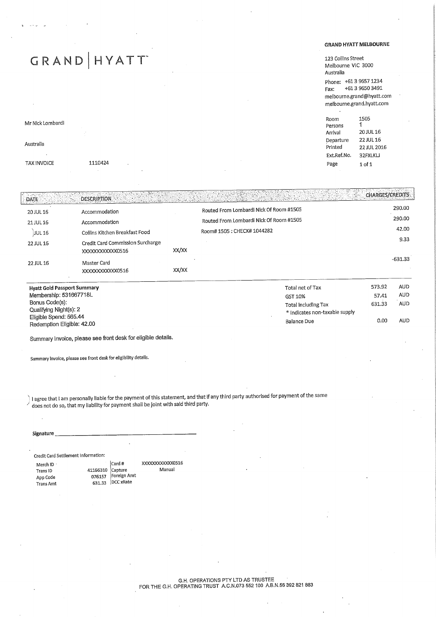# GRAND | HYATT

#### Mr Nick Lombardi

Australia TAX INVOICE 1110424

#### GRAND HYATT MELBOURNE

123 Collins Street Street amelante victoriano.<br>Diametra

Phone:  $613065723401$ Fax: +613 9650 3491 melbourne.grand@)hyatt.com  $\mathcal{L}$ 

| Room        | 1505        |
|-------------|-------------|
| Persons     | 1           |
| Arrival     | 20 JUL 16   |
| Departure   | 22 IUL 16   |
| Printed     | 22 JUL 2016 |
| Ext.Ref.No. | 32FXLKLJ    |
| Page        | $1$ of $1$  |
|             |             |

### .ia and the second of the second contribution of the second contribution of the second contribution of the second contribution of the second contribution of the second contribution of the second contribution of the second

| 20 JUL 16 | Accommodation                                       |       | Routed From Lombardi Nick Of Room #1505 | 290.00    |
|-----------|-----------------------------------------------------|-------|-----------------------------------------|-----------|
| 21 JUL 16 | Accommodation                                       |       | Routed From Lombardi Nick Of Room #1505 | 290.00    |
| JUL 16    | Collins Kitchen Breakfast Food                      |       | Room# 1505 : CHECK# 1044282             | 42.00     |
| 22 JUL 16 | Credit Card Commission Surcharge<br>XXXXXXXXXXX0516 | XX/XX |                                         | 9.33      |
| 22 JUL 16 | Master Card<br>XXXXXXXXXXXX0516                     | XX/XX |                                         | $-631.33$ |

| <b>Hyatt Gold Passport Summary</b> | Total net of Tax               | 573.92 | AUD. |
|------------------------------------|--------------------------------|--------|------|
| Membership: 531667718L             | GST 10%                        | 57.41  | AUD  |
| Bonus Code(s):                     | Total including Tax            | 631.33 | AUD  |
| Qualifying Night(s): 2             | * Indicates non-taxable supply |        |      |
| Eligible Spend: 565.44             | Balance Due                    | 0.00   | AUD  |
| Redemption Eligible: 42.00         |                                |        |      |

Summary Invoice, please see front desk for eligible details.

Summary invoice, please see front desk for eligibility details.

I agree that I am personally liable for the payment of this statement, and that if any third party authorised for payment of the same does not do so, that my liability for payment shall be joint with said third party.

#### Signature

| Credit Card Settlement Information:                    |                                                                        |                           |
|--------------------------------------------------------|------------------------------------------------------------------------|---------------------------|
| Merch ID ·<br>Trans ID<br>App Code<br><b>Trans Amt</b> | Card #<br>41166310 Capture<br>076157 Foreign Amt<br>$631.33$ DCC xRate | XXXXXXXXXXX0516<br>Manual |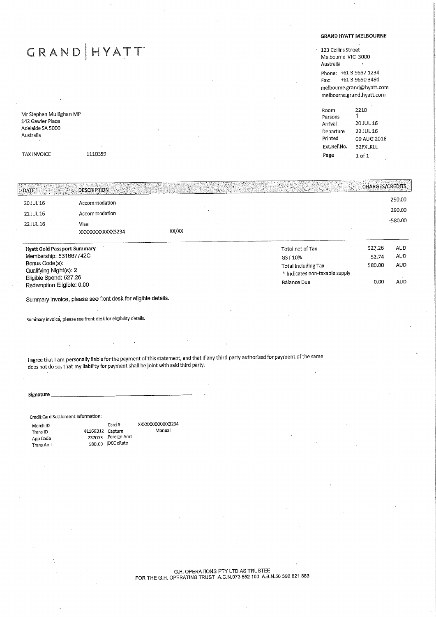## GRAND HYATT

Mr Stephen Mullighan MP 142 Gawler Place Adelaide SA 5000 Australia

TAX INVOICE 1110359

#### GRAND HYATT MELBOURME

123 Collins Street<br>1123 Collins Andread umburne vic seser<br>Delette Australia  $P = 5539723404$ Fax: +61 3 9650 3491<br>melbourne.grand@hyatt.com melbourne.grand@hyatt.com melbourne.grand.hyatt.com

Room<br>Persons 2210  $\overline{1}$ Arrival 20 JUL 16 Departure 22 JUL 16 Printed 09 AUG 2016 Printed 09 AUG 2016<br>2016 AUG 2016 32FXLKLL Page 1 of 1

| <b>Hyatt Gold Passport Summary</b><br>Membership: 531667742C |                         |       | Total net of Tax<br>$CCT 10\%$ | 527.26<br>52.74 | AUD<br><b>AUD</b> |
|--------------------------------------------------------------|-------------------------|-------|--------------------------------|-----------------|-------------------|
| 22 JUL 16                                                    | Visa<br>XXXXXXXXXXX3234 | XX/XX |                                |                 | -580.00           |
| 21 JUL 16                                                    | Accommodation           |       |                                |                 | 290.00            |
| 20 JUL 16                                                    | Accommodation           |       |                                |                 | 290.00            |
| $\sqrt{2}$ date                                              | DESCRIPTION.            |       |                                | CHARGES/CREDITS |                   |

| Membership: 531667742C    | GST 10%                        | 52.74  | AUD. |
|---------------------------|--------------------------------|--------|------|
| Bonus Code(s):            | Total including Tax            | 580.00 | AUD  |
| Qualifying Night(s): 2    | * Indicates non-taxable supply |        |      |
| Eligible Spend: 527.26    | Balance Due                    | 0.00   | AUD. |
| Redemption Eligible: 0.00 |                                |        |      |

Summary Invoice, please see front desk for eligible details.

Summary invoice, please see front desk for eligibility details.

I agree that I am personally liable forthe payment of this statement, and that if any third party authorised for payment of the same does not do so, that my liability for payment shall be joint with said third party.

Manual

Signature

Credit Card Settlement Information:

Merch ID Trans ID App Code Trans Amt 41166312 237075 580.00 Card #<br>Capture Capture Foreign Amt DCC xRate XXXXXXXXXXXX3234

G.H. OPERATIONS PTY LTD AS TROSTEL FOR THE G.H. OPERATING TRUST A.C.N.073 552 100 A.B.N.56 392 821 88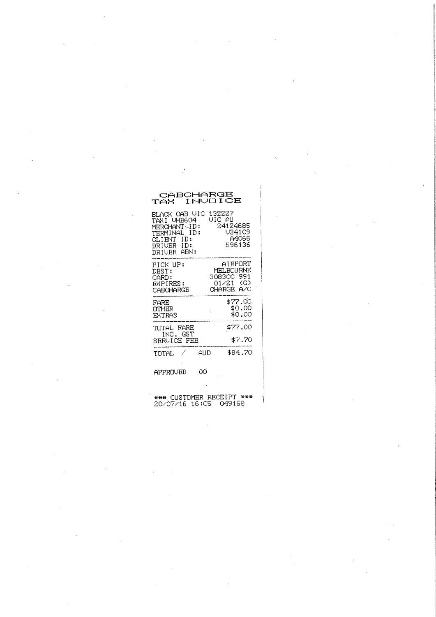## CABCHARGE<br>TAX INVOICE

| BLACK CAB VIC<br>TAXI VHB604<br>MERCHANT <id:<br>TERMINAL ID:<br/>CLIENT ID:<br/>DRIVER ID:<br/>DRIVER ABN:</id:<br> | 132227<br>VIC AU<br>24124685<br>V34109<br>A4065<br>596136 |
|----------------------------------------------------------------------------------------------------------------------|-----------------------------------------------------------|
| PICK UP:                                                                                                             | AIRPORT                                                   |
| DEST:                                                                                                                | MELBOURNE                                                 |
| CARD:                                                                                                                | 308300 991                                                |
| EXPIRES:                                                                                                             | 01/21 (C)                                                 |
| CARCHARGE                                                                                                            | CHARGE A/C                                                |
| FARE                                                                                                                 | \$77,00                                                   |
| OTHER                                                                                                                | \$0.00                                                    |
| EXTRAS                                                                                                               | \$0.00                                                    |
| TOTAL FARE<br>INC. GST<br>SERVICE FEE                                                                                | \$77.00<br>\$7.70                                         |
| 7                                                                                                                    | \$84.70                                                   |
| TOTAL                                                                                                                | AUD                                                       |
| APPROVED                                                                                                             | ΩO                                                        |

\*\*\* CUSTOMER RECEIPT \*\*\*<br>20/07/16 16:05 049158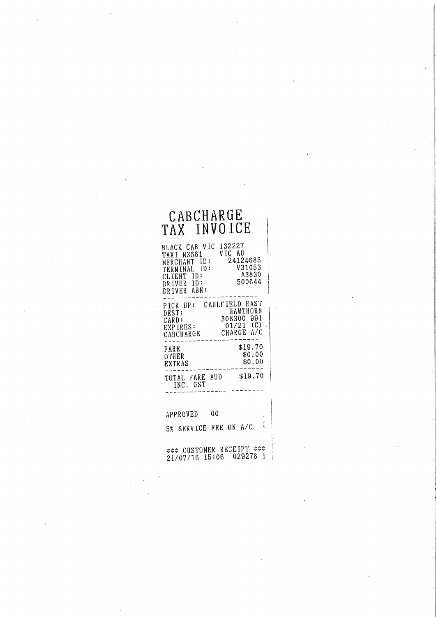## ADVIIANNH<br>G-TNUAICE TAX INVOICE

| BLACK CAB VIC       | 132227         |
|---------------------|----------------|
| TAXI M3661          | VIC AU         |
| MERCHANT ID:        | 24124685       |
| TERMINAL ID:        | V31053         |
| CLIENT ID:          | A3830          |
| DRIVER ID:          | 500644         |
| DRIVER ABN:         |                |
|                     |                |
| PICK UP:            | CAULFIELD EAST |
| DEST:               | HAWTHORN       |
| CARD:               | 308300 991     |
| EXPIRES:            | $01/21$ (C)    |
| CABCHARGE           | CHARGE A/C     |
|                     |                |
|                     | \$19.70        |
| FARE                | \$0.00         |
| OTHER               | \$0.00         |
| EXTRAS              |                |
|                     | \$19.70        |
| TOTAL FARE AUD      |                |
| INC. GST            |                |
|                     |                |
|                     |                |
|                     |                |
| APPROVED            | 00             |
|                     |                |
| SERVICE FEE<br>5% - | ON A/C         |
|                     |                |

 $1/07/16$  15:06 029278 I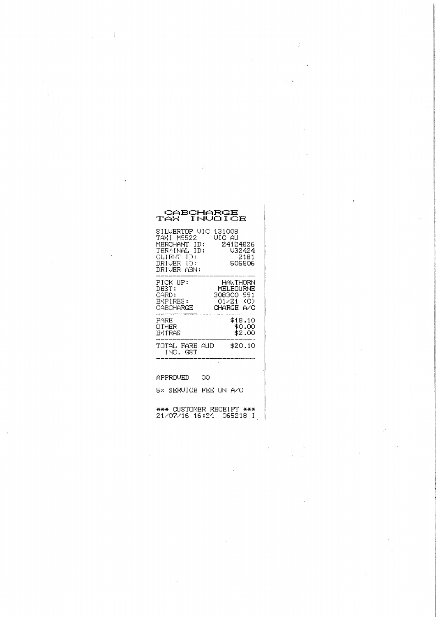| CABCHARGE<br>TAX INVOICE                                                                               |     |                                                       |                             |
|--------------------------------------------------------------------------------------------------------|-----|-------------------------------------------------------|-----------------------------|
| SILVERTOP VIC<br>TAXI M9522<br>MERCHANT ID:<br>TERMINAL ID:<br>CLIENT ID:<br>DRIVER ID:<br>DRIUER ABN: |     | 131008<br>VIC AU<br>24124826                          | V32424<br>2181<br>505506    |
| PICK UP:<br>DEST:<br>CARD:<br>EXPIRES:<br>CABCHARGE                                                    |     | MEI JAOU RNE<br>308300 991<br>01/21 (C)<br>CHARGE A/C | HAWTHORN                    |
| FARE<br>OTHER<br>EXTRAS                                                                                |     |                                                       | \$18.10<br>\$0.00<br>\$2.00 |
| TOTAL FARE AUD<br>INC. GST                                                                             |     |                                                       | \$20.10                     |
| $- - - - -$<br>$-1$                                                                                    | . . |                                                       |                             |

 $\mathbb{R}^2$ 

APPROVED  $_{\rm OO}$ 

 $\mathcal{L}_{\mathcal{L}}$ 

5% SERVICE FEE ON A/C

\*\*\* CUSTOMER RECEIPT \*\*\*<br>21/07/16 16:24 065218 I

 $\sim$  .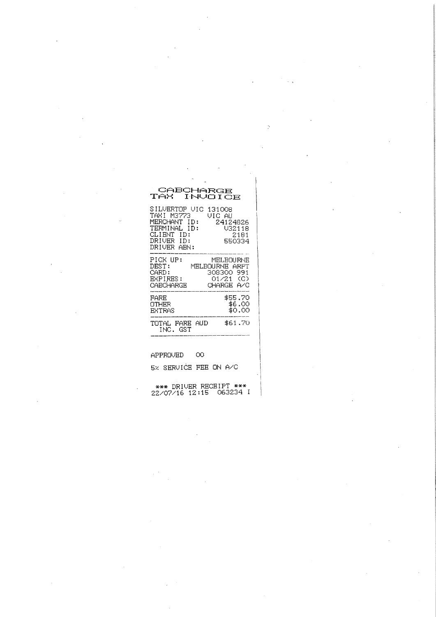# CABCHARGE<br>TAX INVOICE

| SILVERTOP VIC<br>TAXI M3773<br>MERCHANT ID:<br>TERMINAL ID:<br>CLIENT ID:<br>DRIUER ID:<br>DRIUER ARN: | 131008<br>VIC AU<br>24124826<br>V32118<br>2181<br>550334 |
|--------------------------------------------------------------------------------------------------------|----------------------------------------------------------|
| PICK IIP:                                                                                              | MEI .BOLIRNE                                             |
| DEST:                                                                                                  | MELBOURNE ARPT                                           |
| CARD:                                                                                                  | 308300 991                                               |
| EXPIRES:                                                                                               | 01/21 (C)                                                |
| CABCHARGE                                                                                              | CHARGE A/C                                               |
| FARE                                                                                                   | \$55.70                                                  |
| OTHER                                                                                                  | \$6.00                                                   |
| <b>EXTRAS</b>                                                                                          | \$0.00                                                   |
| TOTAL FARE<br>AUD<br>ING. GST                                                                          | \$61.70                                                  |

 $APPROVED$  00

5% SERVICE FEE ON A/C

s»» DRIUER RECEIPT »»\* 22/07/1& 12:15 OG3234 I